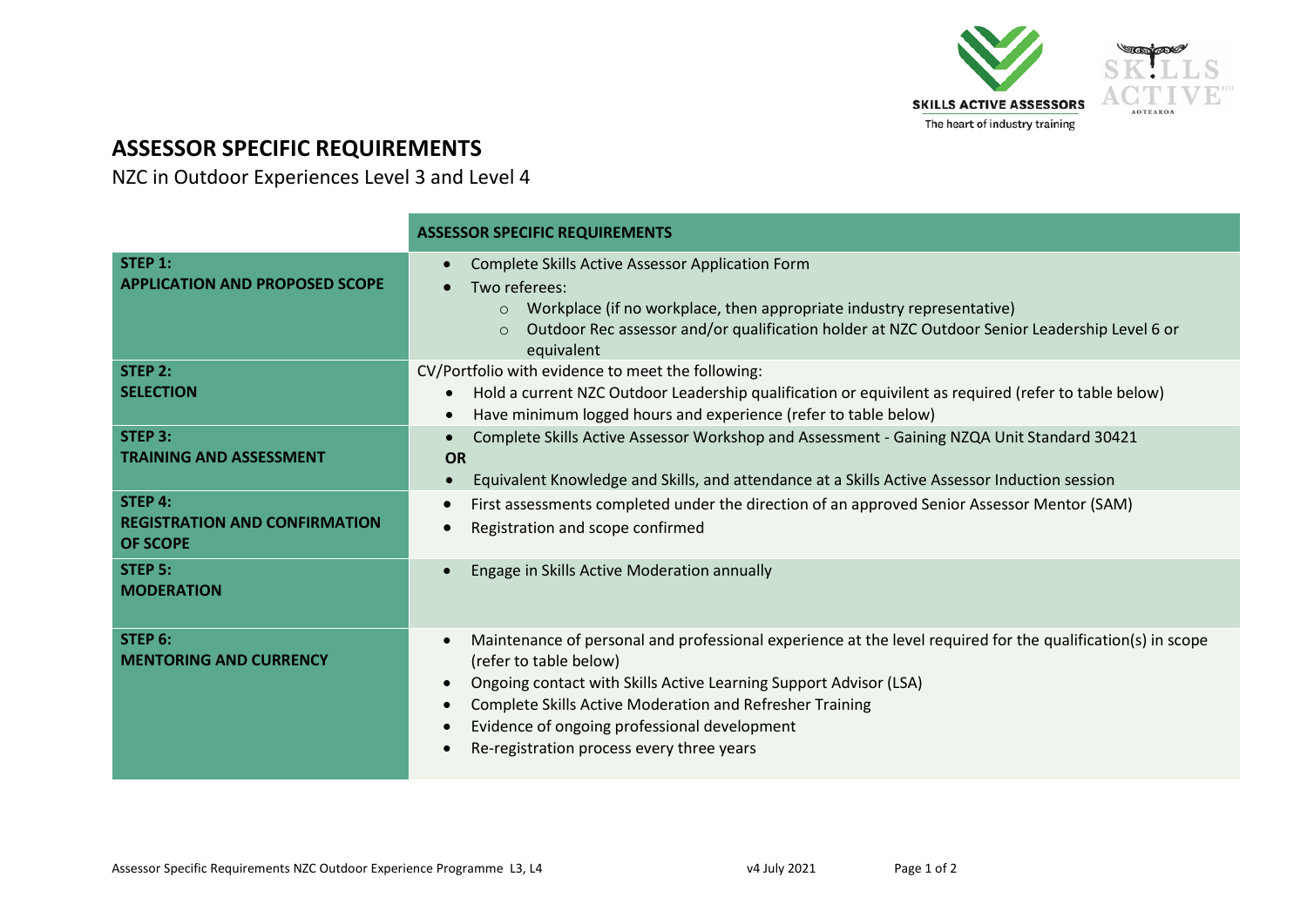

## **ASSESSOR SPECIFIC REQUIREMENTS**

NZC in Outdoor Experiences Level 3 and Level 4

|                                                                    | <b>ASSESSOR SPECIFIC REQUIREMENTS</b>                                                                                                                                                                                                                                                                                                                               |  |  |
|--------------------------------------------------------------------|---------------------------------------------------------------------------------------------------------------------------------------------------------------------------------------------------------------------------------------------------------------------------------------------------------------------------------------------------------------------|--|--|
| STEP 1:<br><b>APPLICATION AND PROPOSED SCOPE</b>                   | Complete Skills Active Assessor Application Form<br>Two referees:<br>Workplace (if no workplace, then appropriate industry representative)<br>$\circ$<br>Outdoor Rec assessor and/or qualification holder at NZC Outdoor Senior Leadership Level 6 or<br>$\circ$<br>equivalent                                                                                      |  |  |
| STEP 2:<br><b>SELECTION</b>                                        | CV/Portfolio with evidence to meet the following:<br>Hold a current NZC Outdoor Leadership qualification or equivilent as required (refer to table below)<br>Have minimum logged hours and experience (refer to table below)                                                                                                                                        |  |  |
| <b>STEP 3:</b><br><b>TRAINING AND ASSESSMENT</b>                   | Complete Skills Active Assessor Workshop and Assessment - Gaining NZQA Unit Standard 30421<br><b>OR</b><br>Equivalent Knowledge and Skills, and attendance at a Skills Active Assessor Induction session                                                                                                                                                            |  |  |
| STEP 4:<br><b>REGISTRATION AND CONFIRMATION</b><br><b>OF SCOPE</b> | First assessments completed under the direction of an approved Senior Assessor Mentor (SAM)<br>Registration and scope confirmed                                                                                                                                                                                                                                     |  |  |
| STEP 5:<br><b>MODERATION</b>                                       | Engage in Skills Active Moderation annually                                                                                                                                                                                                                                                                                                                         |  |  |
| STEP 6:<br><b>MENTORING AND CURRENCY</b>                           | Maintenance of personal and professional experience at the level required for the qualification(s) in scope<br>(refer to table below)<br>Ongoing contact with Skills Active Learning Support Advisor (LSA)<br>Complete Skills Active Moderation and Refresher Training<br>Evidence of ongoing professional development<br>Re-registration process every three years |  |  |